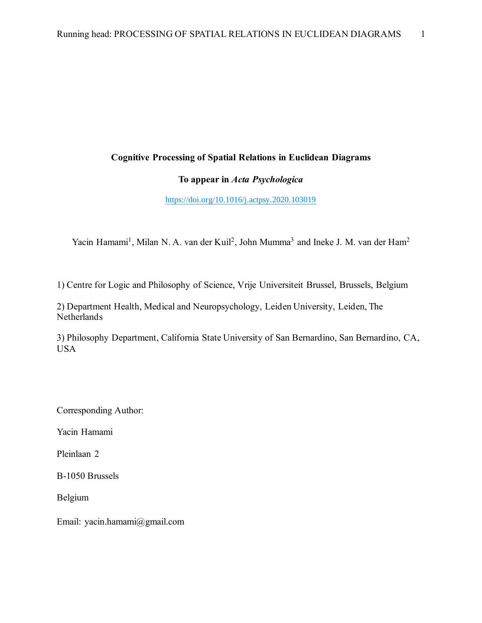## **Cognitive Processing of Spatial Relations in Euclidean Diagrams**

## **To appear in** *Acta Psychologica*

### https://doi.org/10.1016/j.actpsy.2020.103019

Yacin Hamami<sup>1</sup>, Milan N. A. van der Kuil<sup>2</sup>, John Mumma<sup>3</sup> and Ineke J. M. van der Ham<sup>2</sup>

1) Centre for Logic and Philosophy of Science, Vrije Universiteit Brussel, Brussels, Belgium

2) Department Health, Medical and Neuropsychology, Leiden University, Leiden, The Netherlands

3) Philosophy Department, California State University of San Bernardino, San Bernardino, CA, USA

Corresponding Author:

Yacin Hamami

Pleinlaan 2

B-1050 Brussels

Belgium

Email: yacin.hamami@gmail.com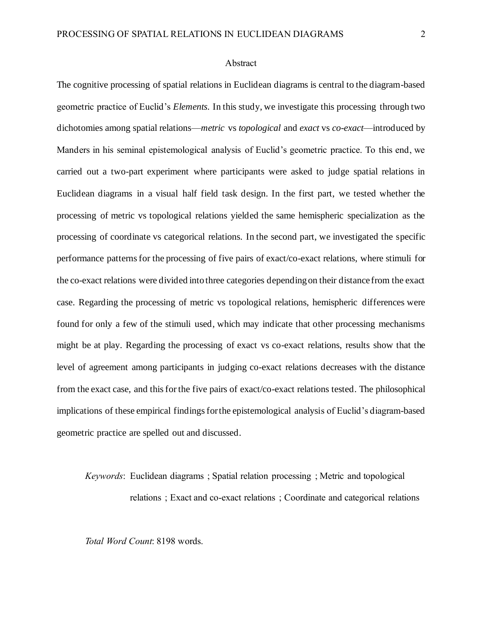#### Abstract

The cognitive processing of spatial relations in Euclidean diagrams is central to the diagram-based geometric practice of Euclid's *Elements*. In this study, we investigate this processing through two dichotomies among spatial relations—*metric* vs *topological* and *exact* vs *co-exact*—introduced by Manders in his seminal epistemological analysis of Euclid's geometric practice. To this end, we carried out a two-part experiment where participants were asked to judge spatial relations in Euclidean diagrams in a visual half field task design. In the first part, we tested whether the processing of metric vs topological relations yielded the same hemispheric specialization as the processing of coordinate vs categorical relations. In the second part, we investigated the specific performance patternsfor the processing of five pairs of exact/co-exact relations, where stimuli for the co-exact relations were divided into three categories depending on their distance from the exact case. Regarding the processing of metric vs topological relations, hemispheric differences were found for only a few of the stimuli used, which may indicate that other processing mechanisms might be at play. Regarding the processing of exact vs co-exact relations, results show that the level of agreement among participants in judging co-exact relations decreases with the distance from the exact case, and this for the five pairs of exact/co-exact relations tested. The philosophical implications of these empirical findings for the epistemological analysis of Euclid's diagram-based geometric practice are spelled out and discussed.

*Keywords*: Euclidean diagrams ; Spatial relation processing ; Metric and topological relations ; Exact and co-exact relations ; Coordinate and categorical relations

*Total Word Count*: 8198 words.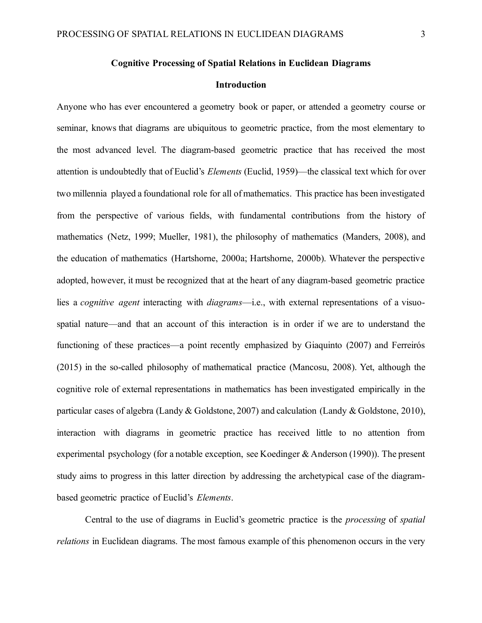### **Cognitive Processing of Spatial Relations in Euclidean Diagrams**

#### **Introduction**

Anyone who has ever encountered a geometry book or paper, or attended a geometry course or seminar, knows that diagrams are ubiquitous to geometric practice, from the most elementary to the most advanced level. The diagram-based geometric practice that has received the most attention is undoubtedly that of Euclid's *Elements* (Euclid, 1959)—the classical text which for over two millennia played a foundational role for all of mathematics. This practice has been investigated from the perspective of various fields, with fundamental contributions from the history of mathematics (Netz, 1999; Mueller, 1981), the philosophy of mathematics (Manders, 2008), and the education of mathematics (Hartshorne, 2000a; Hartshorne, 2000b). Whatever the perspective adopted, however, it must be recognized that at the heart of any diagram-based geometric practice lies a *cognitive agent* interacting with *diagrams*—i.e., with external representations of a visuospatial nature—and that an account of this interaction is in order if we are to understand the functioning of these practices—a point recently emphasized by Giaquinto (2007) and Ferreirós (2015) in the so-called philosophy of mathematical practice (Mancosu, 2008). Yet, although the cognitive role of external representations in mathematics has been investigated empirically in the particular cases of algebra (Landy & Goldstone, 2007) and calculation (Landy & Goldstone, 2010), interaction with diagrams in geometric practice has received little to no attention from experimental psychology (for a notable exception, see Koedinger & Anderson (1990)). The present study aims to progress in this latter direction by addressing the archetypical case of the diagrambased geometric practice of Euclid's *Elements*.

Central to the use of diagrams in Euclid's geometric practice is the *processing* of *spatial relations* in Euclidean diagrams. The most famous example of this phenomenon occurs in the very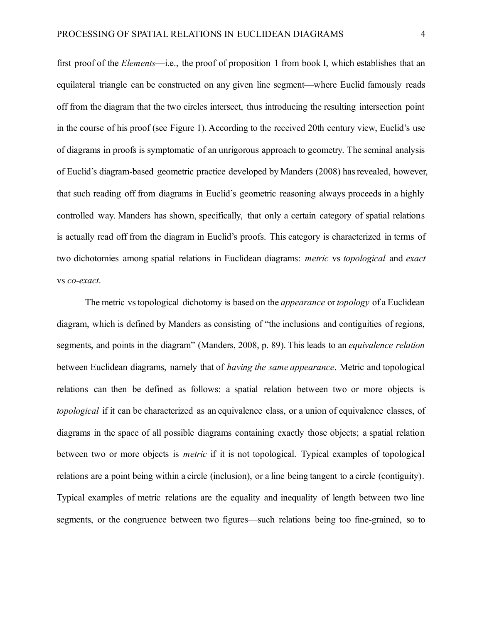first proof of the *Elements*—i.e., the proof of proposition 1 from book I, which establishes that an equilateral triangle can be constructed on any given line segment—where Euclid famously reads off from the diagram that the two circles intersect, thus introducing the resulting intersection point in the course of his proof (see Figure 1). According to the received 20th century view, Euclid's use of diagrams in proofs is symptomatic of an unrigorous approach to geometry. The seminal analysis of Euclid's diagram-based geometric practice developed by Manders (2008) has revealed, however, that such reading off from diagrams in Euclid's geometric reasoning always proceeds in a highly controlled way. Manders has shown, specifically, that only a certain category of spatial relations is actually read off from the diagram in Euclid's proofs. This category is characterized in terms of two dichotomies among spatial relations in Euclidean diagrams: *metric* vs *topological* and *exact* vs *co-exact*.

The metric vs topological dichotomy is based on the *appearance* or *topology* of a Euclidean diagram, which is defined by Manders as consisting of "the inclusions and contiguities of regions, segments, and points in the diagram" (Manders, 2008, p. 89). This leads to an *equivalence relation* between Euclidean diagrams, namely that of *having the same appearance*. Metric and topological relations can then be defined as follows: a spatial relation between two or more objects is *topological* if it can be characterized as an equivalence class, or a union of equivalence classes, of diagrams in the space of all possible diagrams containing exactly those objects; a spatial relation between two or more objects is *metric* if it is not topological. Typical examples of topological relations are a point being within a circle (inclusion), or a line being tangent to a circle (contiguity). Typical examples of metric relations are the equality and inequality of length between two line segments, or the congruence between two figures—such relations being too fine-grained, so to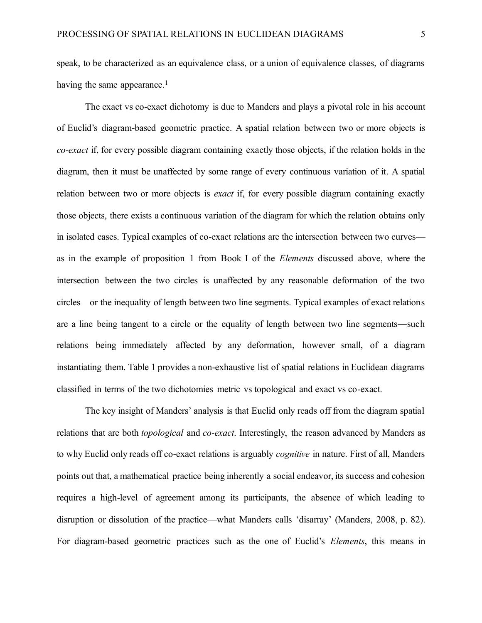speak, to be characterized as an equivalence class, or a union of equivalence classes, of diagrams having the same appearance.<sup>1</sup>

The exact vs co-exact dichotomy is due to Manders and plays a pivotal role in his account of Euclid's diagram-based geometric practice. A spatial relation between two or more objects is *co-exact* if, for every possible diagram containing exactly those objects, if the relation holds in the diagram, then it must be unaffected by some range of every continuous variation of it. A spatial relation between two or more objects is *exact* if, for every possible diagram containing exactly those objects, there exists a continuous variation of the diagram for which the relation obtains only in isolated cases. Typical examples of co-exact relations are the intersection between two curves as in the example of proposition 1 from Book I of the *Elements* discussed above, where the intersection between the two circles is unaffected by any reasonable deformation of the two circles—or the inequality of length between two line segments. Typical examples of exact relations are a line being tangent to a circle or the equality of length between two line segments—such relations being immediately affected by any deformation, however small, of a diagram instantiating them. Table 1 provides a non-exhaustive list of spatial relations in Euclidean diagrams classified in terms of the two dichotomies metric vs topological and exact vs co-exact.

The key insight of Manders' analysis is that Euclid only reads off from the diagram spatial relations that are both *topological* and *co-exact*. Interestingly, the reason advanced by Manders as to why Euclid only reads off co-exact relations is arguably *cognitive* in nature. First of all, Manders points out that, a mathematical practice being inherently a social endeavor, its success and cohesion requires a high-level of agreement among its participants, the absence of which leading to disruption or dissolution of the practice—what Manders calls 'disarray' (Manders, 2008, p. 82). For diagram-based geometric practices such as the one of Euclid's *Elements*, this means in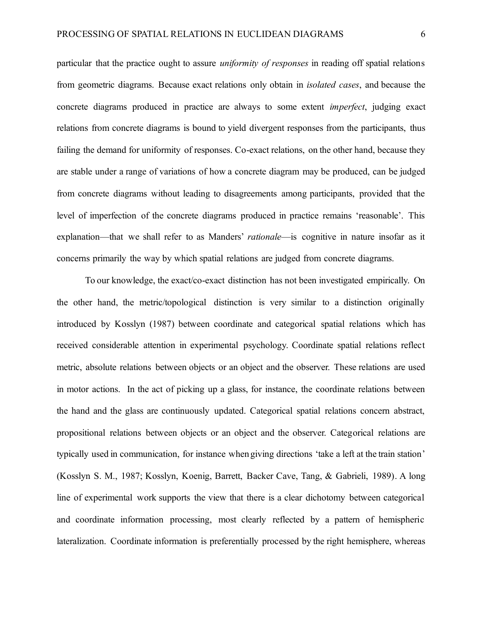particular that the practice ought to assure *uniformity of responses* in reading off spatial relations from geometric diagrams. Because exact relations only obtain in *isolated cases*, and because the concrete diagrams produced in practice are always to some extent *imperfect*, judging exact relations from concrete diagrams is bound to yield divergent responses from the participants, thus failing the demand for uniformity of responses. Co-exact relations, on the other hand, because they are stable under a range of variations of how a concrete diagram may be produced, can be judged from concrete diagrams without leading to disagreements among participants, provided that the level of imperfection of the concrete diagrams produced in practice remains 'reasonable'. This explanation—that we shall refer to as Manders' *rationale*—is cognitive in nature insofar as it concerns primarily the way by which spatial relations are judged from concrete diagrams.

To our knowledge, the exact/co-exact distinction has not been investigated empirically. On the other hand, the metric/topological distinction is very similar to a distinction originally introduced by Kosslyn (1987) between coordinate and categorical spatial relations which has received considerable attention in experimental psychology. Coordinate spatial relations reflect metric, absolute relations between objects or an object and the observer. These relations are used in motor actions. In the act of picking up a glass, for instance, the coordinate relations between the hand and the glass are continuously updated. Categorical spatial relations concern abstract, propositional relations between objects or an object and the observer. Categorical relations are typically used in communication, for instance when giving directions 'take a left at the train station' (Kosslyn S. M., 1987; Kosslyn, Koenig, Barrett, Backer Cave, Tang, & Gabrieli, 1989). A long line of experimental work supports the view that there is a clear dichotomy between categorical and coordinate information processing, most clearly reflected by a pattern of hemispheric lateralization. Coordinate information is preferentially processed by the right hemisphere, whereas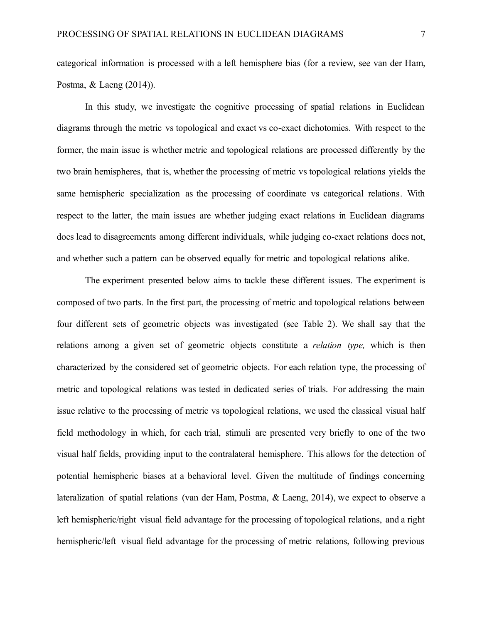categorical information is processed with a left hemisphere bias (for a review, see van der Ham, Postma, & Laeng (2014)).

In this study, we investigate the cognitive processing of spatial relations in Euclidean diagrams through the metric vs topological and exact vs co-exact dichotomies. With respect to the former, the main issue is whether metric and topological relations are processed differently by the two brain hemispheres, that is, whether the processing of metric vs topological relations yields the same hemispheric specialization as the processing of coordinate vs categorical relations. With respect to the latter, the main issues are whether judging exact relations in Euclidean diagrams does lead to disagreements among different individuals, while judging co-exact relations does not, and whether such a pattern can be observed equally for metric and topological relations alike.

The experiment presented below aims to tackle these different issues. The experiment is composed of two parts. In the first part, the processing of metric and topological relations between four different sets of geometric objects was investigated (see Table 2). We shall say that the relations among a given set of geometric objects constitute a *relation type,* which is then characterized by the considered set of geometric objects. For each relation type, the processing of metric and topological relations was tested in dedicated series of trials. For addressing the main issue relative to the processing of metric vs topological relations, we used the classical visual half field methodology in which, for each trial, stimuli are presented very briefly to one of the two visual half fields, providing input to the contralateral hemisphere. This allows for the detection of potential hemispheric biases at a behavioral level. Given the multitude of findings concerning lateralization of spatial relations (van der Ham, Postma, & Laeng, 2014), we expect to observe a left hemispheric/right visual field advantage for the processing of topological relations, and a right hemispheric/left visual field advantage for the processing of metric relations, following previous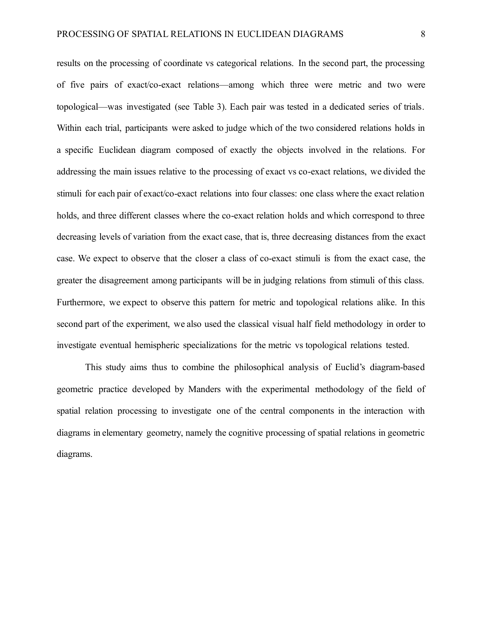results on the processing of coordinate vs categorical relations. In the second part, the processing of five pairs of exact/co-exact relations—among which three were metric and two were topological—was investigated (see Table 3). Each pair was tested in a dedicated series of trials. Within each trial, participants were asked to judge which of the two considered relations holds in a specific Euclidean diagram composed of exactly the objects involved in the relations. For addressing the main issues relative to the processing of exact vs co-exact relations, we divided the stimuli for each pair of exact/co-exact relations into four classes: one class where the exact relation holds, and three different classes where the co-exact relation holds and which correspond to three decreasing levels of variation from the exact case, that is, three decreasing distances from the exact case. We expect to observe that the closer a class of co-exact stimuli is from the exact case, the greater the disagreement among participants will be in judging relations from stimuli of this class. Furthermore, we expect to observe this pattern for metric and topological relations alike. In this second part of the experiment, we also used the classical visual half field methodology in order to investigate eventual hemispheric specializations for the metric vs topological relations tested.

This study aims thus to combine the philosophical analysis of Euclid's diagram-based geometric practice developed by Manders with the experimental methodology of the field of spatial relation processing to investigate one of the central components in the interaction with diagrams in elementary geometry, namely the cognitive processing of spatial relations in geometric diagrams.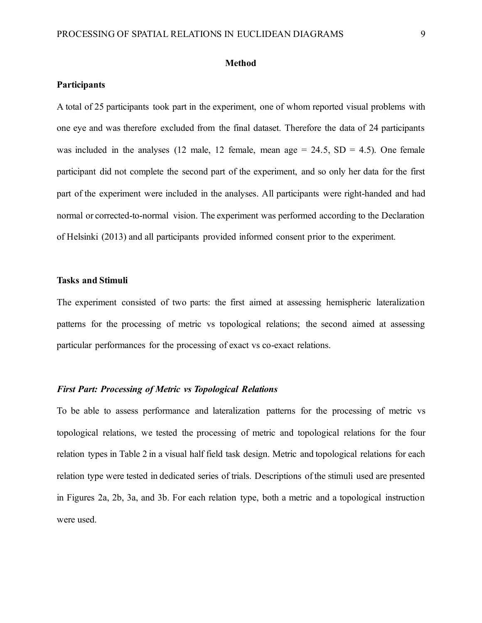#### **Method**

### **Participants**

A total of 25 participants took part in the experiment, one of whom reported visual problems with one eye and was therefore excluded from the final dataset. Therefore the data of 24 participants was included in the analyses (12 male, 12 female, mean age  $= 24.5$ , SD  $= 4.5$ ). One female participant did not complete the second part of the experiment, and so only her data for the first part of the experiment were included in the analyses. All participants were right-handed and had normal or corrected-to-normal vision. The experiment was performed according to the Declaration of Helsinki (2013) and all participants provided informed consent prior to the experiment.

### **Tasks and Stimuli**

The experiment consisted of two parts: the first aimed at assessing hemispheric lateralization patterns for the processing of metric vs topological relations; the second aimed at assessing particular performances for the processing of exact vs co-exact relations.

### *First Part: Processing of Metric vs Topological Relations*

To be able to assess performance and lateralization patterns for the processing of metric vs topological relations, we tested the processing of metric and topological relations for the four relation types in Table 2 in a visual half field task design. Metric and topological relations for each relation type were tested in dedicated series of trials. Descriptions of the stimuli used are presented in Figures 2a, 2b, 3a, and 3b. For each relation type, both a metric and a topological instruction were used.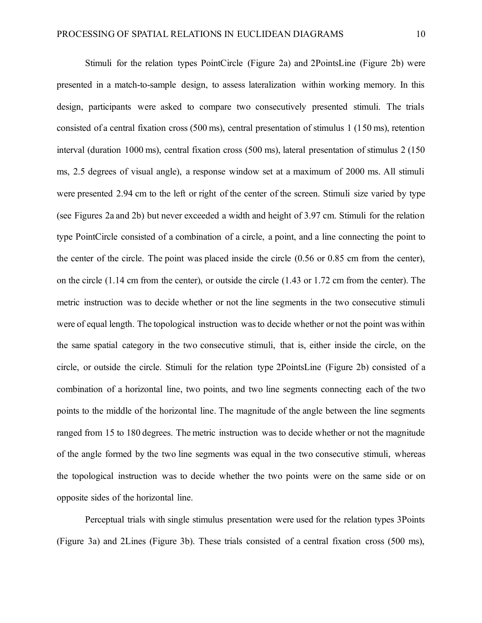Stimuli for the relation types PointCircle (Figure 2a) and 2PointsLine (Figure 2b) were presented in a match-to-sample design, to assess lateralization within working memory. In this design, participants were asked to compare two consecutively presented stimuli. The trials consisted of a central fixation cross (500 ms), central presentation of stimulus 1 (150 ms), retention interval (duration 1000 ms), central fixation cross (500 ms), lateral presentation of stimulus 2 (150 ms, 2.5 degrees of visual angle), a response window set at a maximum of 2000 ms. All stimuli were presented 2.94 cm to the left or right of the center of the screen. Stimuli size varied by type (see Figures 2a and 2b) but never exceeded a width and height of 3.97 cm. Stimuli for the relation type PointCircle consisted of a combination of a circle, a point, and a line connecting the point to the center of the circle. The point was placed inside the circle (0.56 or 0.85 cm from the center), on the circle (1.14 cm from the center), or outside the circle (1.43 or 1.72 cm from the center). The metric instruction was to decide whether or not the line segments in the two consecutive stimuli were of equal length. The topological instruction was to decide whether or not the point was within the same spatial category in the two consecutive stimuli, that is, either inside the circle, on the circle, or outside the circle. Stimuli for the relation type 2PointsLine (Figure 2b) consisted of a combination of a horizontal line, two points, and two line segments connecting each of the two points to the middle of the horizontal line. The magnitude of the angle between the line segments ranged from 15 to 180 degrees. The metric instruction was to decide whether or not the magnitude of the angle formed by the two line segments was equal in the two consecutive stimuli, whereas the topological instruction was to decide whether the two points were on the same side or on opposite sides of the horizontal line.

Perceptual trials with single stimulus presentation were used for the relation types 3Points (Figure 3a) and 2Lines (Figure 3b). These trials consisted of a central fixation cross (500 ms),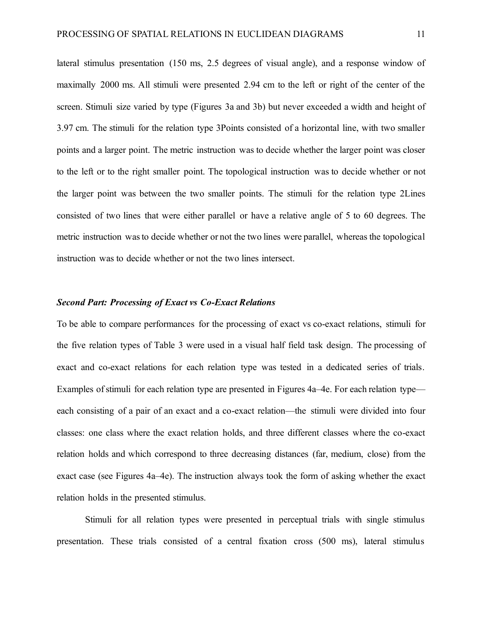lateral stimulus presentation (150 ms, 2.5 degrees of visual angle), and a response window of maximally 2000 ms. All stimuli were presented 2.94 cm to the left or right of the center of the screen. Stimuli size varied by type (Figures 3a and 3b) but never exceeded a width and height of 3.97 cm. The stimuli for the relation type 3Points consisted of a horizontal line, with two smaller points and a larger point. The metric instruction was to decide whether the larger point was closer to the left or to the right smaller point. The topological instruction was to decide whether or not the larger point was between the two smaller points. The stimuli for the relation type 2Lines consisted of two lines that were either parallel or have a relative angle of 5 to 60 degrees. The metric instruction was to decide whether or not the two lines were parallel, whereas the topological instruction was to decide whether or not the two lines intersect.

#### *Second Part: Processing of Exact vs Co-Exact Relations*

To be able to compare performances for the processing of exact vs co-exact relations, stimuli for the five relation types of Table 3 were used in a visual half field task design. The processing of exact and co-exact relations for each relation type was tested in a dedicated series of trials. Examples of stimuli for each relation type are presented in Figures 4a–4e. For each relation type each consisting of a pair of an exact and a co-exact relation—the stimuli were divided into four classes: one class where the exact relation holds, and three different classes where the co-exact relation holds and which correspond to three decreasing distances (far, medium, close) from the exact case (see Figures 4a–4e). The instruction always took the form of asking whether the exact relation holds in the presented stimulus.

Stimuli for all relation types were presented in perceptual trials with single stimulus presentation. These trials consisted of a central fixation cross (500 ms), lateral stimulus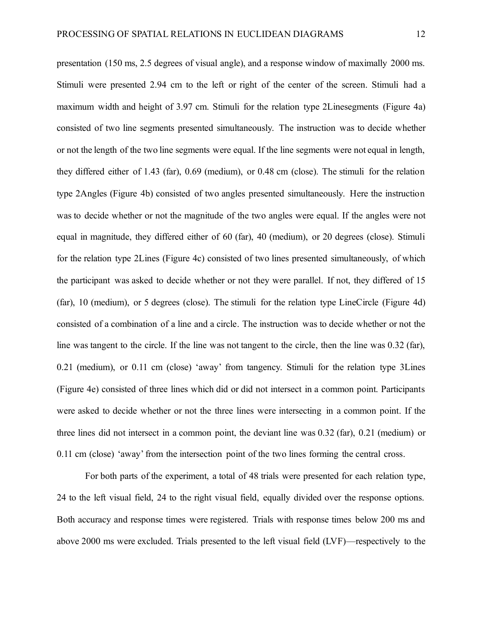presentation (150 ms, 2.5 degrees of visual angle), and a response window of maximally 2000 ms. Stimuli were presented 2.94 cm to the left or right of the center of the screen. Stimuli had a maximum width and height of 3.97 cm. Stimuli for the relation type 2Linesegments (Figure 4a) consisted of two line segments presented simultaneously. The instruction was to decide whether or not the length of the two line segments were equal. If the line segments were not equal in length, they differed either of 1.43 (far), 0.69 (medium), or 0.48 cm (close). The stimuli for the relation type 2Angles (Figure 4b) consisted of two angles presented simultaneously. Here the instruction was to decide whether or not the magnitude of the two angles were equal. If the angles were not equal in magnitude, they differed either of 60 (far), 40 (medium), or 20 degrees (close). Stimuli for the relation type 2Lines (Figure 4c) consisted of two lines presented simultaneously, of which the participant was asked to decide whether or not they were parallel. If not, they differed of 15 (far), 10 (medium), or 5 degrees (close). The stimuli for the relation type LineCircle (Figure 4d) consisted of a combination of a line and a circle. The instruction was to decide whether or not the line was tangent to the circle. If the line was not tangent to the circle, then the line was 0.32 (far), 0.21 (medium), or 0.11 cm (close) 'away' from tangency. Stimuli for the relation type 3Lines (Figure 4e) consisted of three lines which did or did not intersect in a common point. Participants were asked to decide whether or not the three lines were intersecting in a common point. If the three lines did not intersect in a common point, the deviant line was 0.32 (far), 0.21 (medium) or 0.11 cm (close) 'away'from the intersection point of the two lines forming the central cross.

For both parts of the experiment, a total of 48 trials were presented for each relation type, 24 to the left visual field, 24 to the right visual field, equally divided over the response options. Both accuracy and response times were registered. Trials with response times below 200 ms and above 2000 ms were excluded. Trials presented to the left visual field (LVF)—respectively to the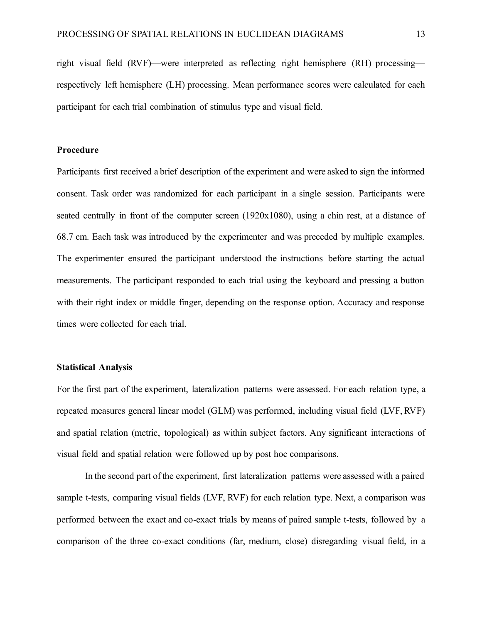right visual field (RVF)—were interpreted as reflecting right hemisphere (RH) processing respectively left hemisphere (LH) processing. Mean performance scores were calculated for each participant for each trial combination of stimulus type and visual field.

#### **Procedure**

Participants first received a brief description of the experiment and were asked to sign the informed consent. Task order was randomized for each participant in a single session. Participants were seated centrally in front of the computer screen (1920x1080), using a chin rest, at a distance of 68.7 cm. Each task was introduced by the experimenter and was preceded by multiple examples. The experimenter ensured the participant understood the instructions before starting the actual measurements. The participant responded to each trial using the keyboard and pressing a button with their right index or middle finger, depending on the response option. Accuracy and response times were collected for each trial.

### **Statistical Analysis**

For the first part of the experiment, lateralization patterns were assessed. For each relation type, a repeated measures general linear model (GLM) was performed, including visual field (LVF, RVF) and spatial relation (metric, topological) as within subject factors. Any significant interactions of visual field and spatial relation were followed up by post hoc comparisons.

In the second part of the experiment, first lateralization patterns were assessed with a paired sample t-tests, comparing visual fields (LVF, RVF) for each relation type. Next, a comparison was performed between the exact and co-exact trials by means of paired sample t-tests, followed by a comparison of the three co-exact conditions (far, medium, close) disregarding visual field, in a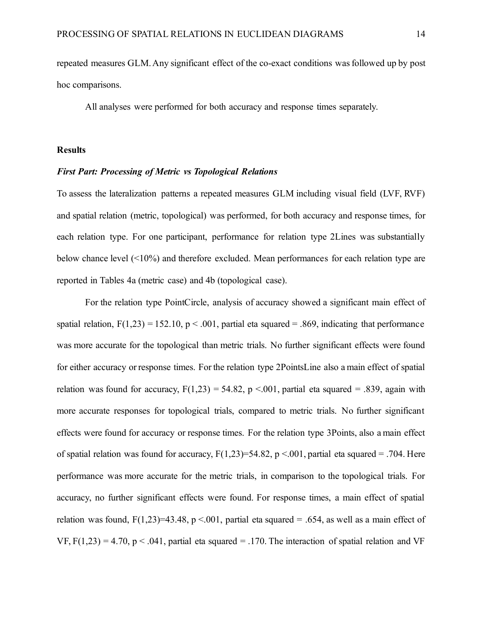repeated measures GLM. Any significant effect of the co-exact conditions was followed up by post hoc comparisons.

All analyses were performed for both accuracy and response times separately.

#### **Results**

#### *First Part: Processing of Metric vs Topological Relations*

To assess the lateralization patterns a repeated measures GLM including visual field (LVF, RVF) and spatial relation (metric, topological) was performed, for both accuracy and response times, for each relation type. For one participant, performance for relation type 2Lines was substantially below chance level (<10%) and therefore excluded. Mean performances for each relation type are reported in Tables 4a (metric case) and 4b (topological case).

For the relation type PointCircle, analysis of accuracy showed a significant main effect of spatial relation,  $F(1,23) = 152.10$ , p < .001, partial eta squared = .869, indicating that performance was more accurate for the topological than metric trials. No further significant effects were found for either accuracy or response times. For the relation type 2PointsLine also a main effect of spatial relation was found for accuracy,  $F(1,23) = 54.82$ ,  $p < 0.001$ , partial eta squared = .839, again with more accurate responses for topological trials, compared to metric trials. No further significant effects were found for accuracy or response times. For the relation type 3Points, also a main effect of spatial relation was found for accuracy,  $F(1,23)=54.82$ , p <.001, partial eta squared = .704. Here performance was more accurate for the metric trials, in comparison to the topological trials. For accuracy, no further significant effects were found. For response times, a main effect of spatial relation was found,  $F(1,23)=43.48$ , p <.001, partial eta squared = .654, as well as a main effect of VF,  $F(1,23) = 4.70$ ,  $p < .041$ , partial eta squared = .170. The interaction of spatial relation and VF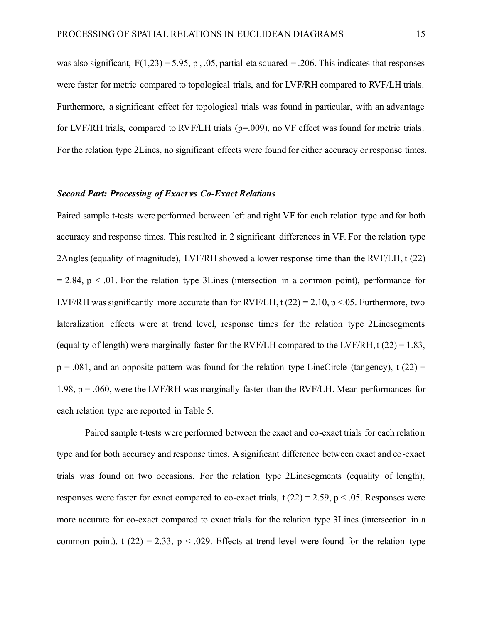was also significant,  $F(1,23) = 5.95$ , p, .05, partial eta squared = .206. This indicates that responses were faster for metric compared to topological trials, and for LVF/RH compared to RVF/LH trials. Furthermore, a significant effect for topological trials was found in particular, with an advantage for LVF/RH trials, compared to RVF/LH trials (p=.009), no VF effect was found for metric trials. For the relation type 2Lines, no significant effects were found for either accuracy or response times.

#### *Second Part: Processing of Exact vs Co-Exact Relations*

Paired sample t-tests were performed between left and right VF for each relation type and for both accuracy and response times. This resulted in 2 significant differences in VF. For the relation type 2Angles (equality of magnitude), LVF/RH showed a lower response time than the RVF/LH, t (22)  $= 2.84$ , p  $\lt$  0.01. For the relation type 3Lines (intersection in a common point), performance for LVF/RH was significantly more accurate than for RVF/LH, t  $(22) = 2.10$ , p <.05. Furthermore, two lateralization effects were at trend level, response times for the relation type 2Linesegments (equality of length) were marginally faster for the RVF/LH compared to the LVF/RH, t  $(22) = 1.83$ ,  $p = 0.081$ , and an opposite pattern was found for the relation type LineCircle (tangency), t (22) = 1.98,  $p = .060$ , were the LVF/RH was marginally faster than the RVF/LH. Mean performances for each relation type are reported in Table 5.

Paired sample t-tests were performed between the exact and co-exact trials for each relation type and for both accuracy and response times. A significant difference between exact and co-exact trials was found on two occasions. For the relation type 2Linesegments (equality of length), responses were faster for exact compared to co-exact trials,  $t(22) = 2.59$ ,  $p < .05$ . Responses were more accurate for co-exact compared to exact trials for the relation type 3Lines (intersection in a common point), t (22) = 2.33,  $p < .029$ . Effects at trend level were found for the relation type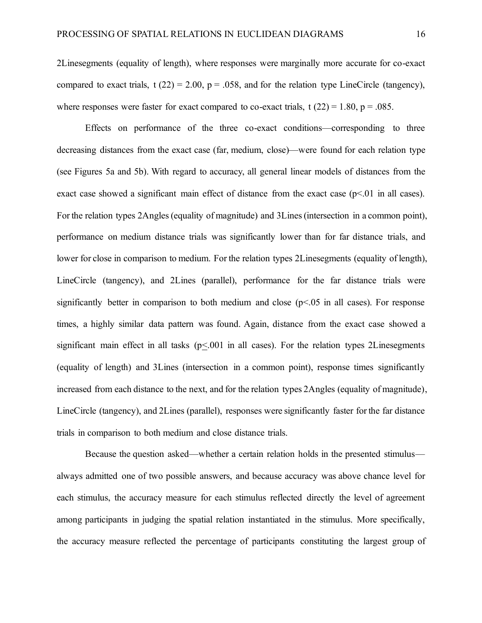2Linesegments (equality of length), where responses were marginally more accurate for co-exact compared to exact trials,  $t(22) = 2.00$ ,  $p = 0.058$ , and for the relation type LineCircle (tangency), where responses were faster for exact compared to co-exact trials, t  $(22) = 1.80$ ,  $p = .085$ .

Effects on performance of the three co-exact conditions—corresponding to three decreasing distances from the exact case (far, medium, close)—were found for each relation type (see Figures 5a and 5b). With regard to accuracy, all general linear models of distances from the exact case showed a significant main effect of distance from the exact case  $(p<01)$  in all cases). For the relation types 2Angles (equality of magnitude) and 3Lines (intersection in a common point), performance on medium distance trials was significantly lower than for far distance trials, and lower for close in comparison to medium. For the relation types 2Linesegments (equality of length), LineCircle (tangency), and 2Lines (parallel), performance for the far distance trials were significantly better in comparison to both medium and close  $(p<0.05$  in all cases). For response times, a highly similar data pattern was found. Again, distance from the exact case showed a significant main effect in all tasks ( $p \le 0.001$  in all cases). For the relation types 2Linesegments (equality of length) and 3Lines (intersection in a common point), response times significantly increased from each distance to the next, and for the relation types 2Angles (equality of magnitude), LineCircle (tangency), and 2Lines (parallel), responses were significantly faster for the far distance trials in comparison to both medium and close distance trials.

Because the question asked—whether a certain relation holds in the presented stimulus always admitted one of two possible answers, and because accuracy was above chance level for each stimulus, the accuracy measure for each stimulus reflected directly the level of agreement among participants in judging the spatial relation instantiated in the stimulus. More specifically, the accuracy measure reflected the percentage of participants constituting the largest group of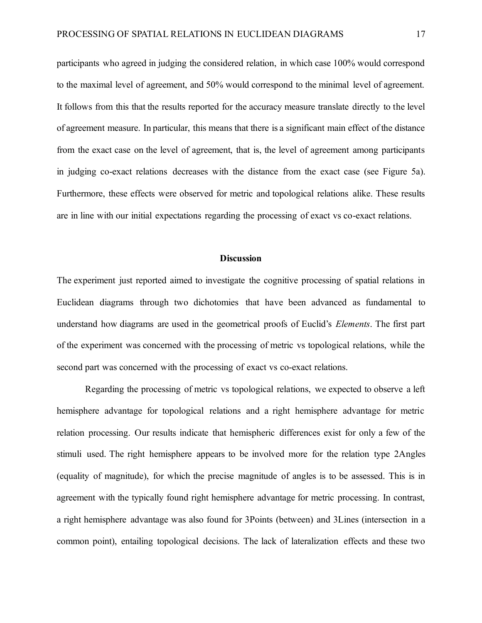participants who agreed in judging the considered relation, in which case 100% would correspond to the maximal level of agreement, and 50% would correspond to the minimal level of agreement. It follows from this that the results reported for the accuracy measure translate directly to the level of agreement measure. In particular, this means that there is a significant main effect of the distance from the exact case on the level of agreement, that is, the level of agreement among participants in judging co-exact relations decreases with the distance from the exact case (see Figure 5a). Furthermore, these effects were observed for metric and topological relations alike. These results are in line with our initial expectations regarding the processing of exact vs co-exact relations.

#### **Discussion**

The experiment just reported aimed to investigate the cognitive processing of spatial relations in Euclidean diagrams through two dichotomies that have been advanced as fundamental to understand how diagrams are used in the geometrical proofs of Euclid's *Elements*. The first part of the experiment was concerned with the processing of metric vs topological relations, while the second part was concerned with the processing of exact vs co-exact relations.

Regarding the processing of metric vs topological relations, we expected to observe a left hemisphere advantage for topological relations and a right hemisphere advantage for metric relation processing. Our results indicate that hemispheric differences exist for only a few of the stimuli used. The right hemisphere appears to be involved more for the relation type 2Angles (equality of magnitude), for which the precise magnitude of angles is to be assessed. This is in agreement with the typically found right hemisphere advantage for metric processing. In contrast, a right hemisphere advantage was also found for 3Points (between) and 3Lines (intersection in a common point), entailing topological decisions. The lack of lateralization effects and these two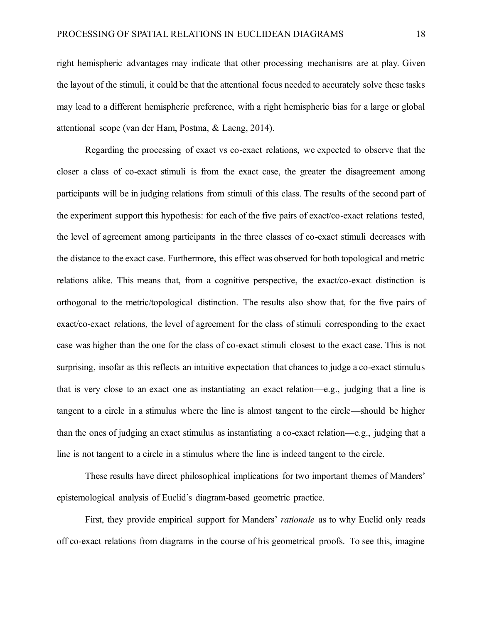right hemispheric advantages may indicate that other processing mechanisms are at play. Given the layout of the stimuli, it could be that the attentional focus needed to accurately solve these tasks may lead to a different hemispheric preference, with a right hemispheric bias for a large or global attentional scope (van der Ham, Postma, & Laeng, 2014).

Regarding the processing of exact vs co-exact relations, we expected to observe that the closer a class of co-exact stimuli is from the exact case, the greater the disagreement among participants will be in judging relations from stimuli of this class. The results of the second part of the experiment support this hypothesis: for each of the five pairs of exact/co-exact relations tested, the level of agreement among participants in the three classes of co-exact stimuli decreases with the distance to the exact case. Furthermore, this effect was observed for both topological and metric relations alike. This means that, from a cognitive perspective, the exact/co-exact distinction is orthogonal to the metric/topological distinction. The results also show that, for the five pairs of exact/co-exact relations, the level of agreement for the class of stimuli corresponding to the exact case was higher than the one for the class of co-exact stimuli closest to the exact case. This is not surprising, insofar as this reflects an intuitive expectation that chances to judge a co-exact stimulus that is very close to an exact one as instantiating an exact relation—e.g., judging that a line is tangent to a circle in a stimulus where the line is almost tangent to the circle—should be higher than the ones of judging an exact stimulus as instantiating a co-exact relation—e.g., judging that a line is not tangent to a circle in a stimulus where the line is indeed tangent to the circle.

These results have direct philosophical implications for two important themes of Manders' epistemological analysis of Euclid's diagram-based geometric practice.

First, they provide empirical support for Manders' *rationale* as to why Euclid only reads off co-exact relations from diagrams in the course of his geometrical proofs. To see this, imagine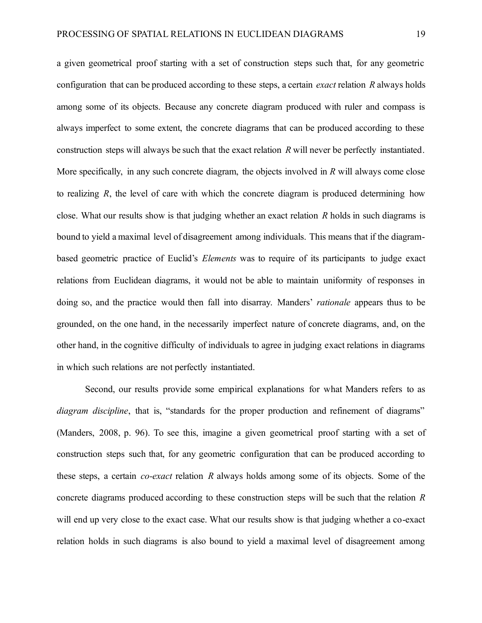a given geometrical proof starting with a set of construction steps such that, for any geometric configuration that can be produced according to these steps, a certain *exact* relation *R* always holds among some of its objects. Because any concrete diagram produced with ruler and compass is always imperfect to some extent, the concrete diagrams that can be produced according to these construction steps will always be such that the exact relation *R* will never be perfectly instantiated. More specifically, in any such concrete diagram, the objects involved in *R* will always come close to realizing *R*, the level of care with which the concrete diagram is produced determining how close. What our results show is that judging whether an exact relation *R* holds in such diagrams is bound to yield a maximal level of disagreement among individuals. This means that if the diagrambased geometric practice of Euclid's *Elements* was to require of its participants to judge exact relations from Euclidean diagrams, it would not be able to maintain uniformity of responses in doing so, and the practice would then fall into disarray. Manders' *rationale* appears thus to be grounded, on the one hand, in the necessarily imperfect nature of concrete diagrams, and, on the other hand, in the cognitive difficulty of individuals to agree in judging exact relations in diagrams in which such relations are not perfectly instantiated.

Second, our results provide some empirical explanations for what Manders refers to as *diagram discipline*, that is, "standards for the proper production and refinement of diagrams" (Manders, 2008, p. 96). To see this, imagine a given geometrical proof starting with a set of construction steps such that, for any geometric configuration that can be produced according to these steps, a certain *co-exact* relation *R* always holds among some of its objects. Some of the concrete diagrams produced according to these construction steps will be such that the relation *R*  will end up very close to the exact case. What our results show is that judging whether a co-exact relation holds in such diagrams is also bound to yield a maximal level of disagreement among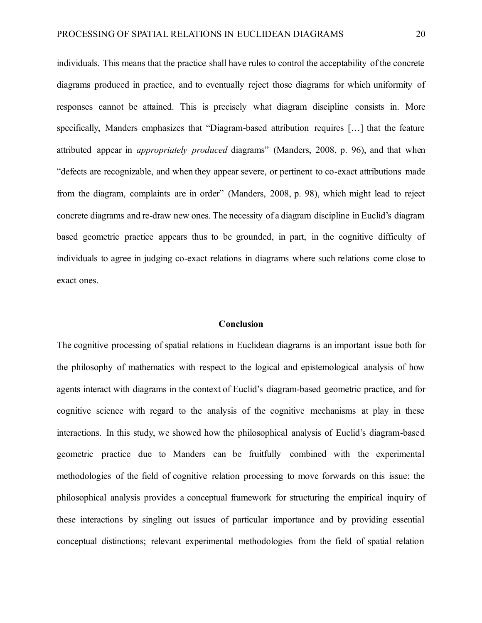individuals. This means that the practice shall have rules to control the acceptability of the concrete diagrams produced in practice, and to eventually reject those diagrams for which uniformity of responses cannot be attained. This is precisely what diagram discipline consists in. More specifically, Manders emphasizes that "Diagram-based attribution requires […] that the feature attributed appear in *appropriately produced* diagrams" (Manders, 2008, p. 96), and that when "defects are recognizable, and when they appear severe, or pertinent to co-exact attributions made from the diagram, complaints are in order" (Manders, 2008, p. 98), which might lead to reject concrete diagrams and re-draw new ones. The necessity of a diagram discipline in Euclid's diagram based geometric practice appears thus to be grounded, in part, in the cognitive difficulty of individuals to agree in judging co-exact relations in diagrams where such relations come close to exact ones.

### **Conclusion**

The cognitive processing of spatial relations in Euclidean diagrams is an important issue both for the philosophy of mathematics with respect to the logical and epistemological analysis of how agents interact with diagrams in the context of Euclid's diagram-based geometric practice, and for cognitive science with regard to the analysis of the cognitive mechanisms at play in these interactions. In this study, we showed how the philosophical analysis of Euclid's diagram-based geometric practice due to Manders can be fruitfully combined with the experimental methodologies of the field of cognitive relation processing to move forwards on this issue: the philosophical analysis provides a conceptual framework for structuring the empirical inquiry of these interactions by singling out issues of particular importance and by providing essential conceptual distinctions; relevant experimental methodologies from the field of spatial relation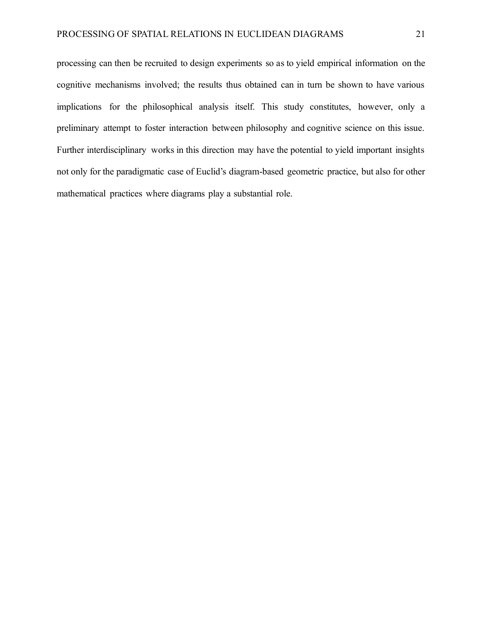processing can then be recruited to design experiments so as to yield empirical information on the cognitive mechanisms involved; the results thus obtained can in turn be shown to have various implications for the philosophical analysis itself. This study constitutes, however, only a preliminary attempt to foster interaction between philosophy and cognitive science on this issue. Further interdisciplinary works in this direction may have the potential to yield important insights not only for the paradigmatic case of Euclid's diagram-based geometric practice, but also for other mathematical practices where diagrams play a substantial role.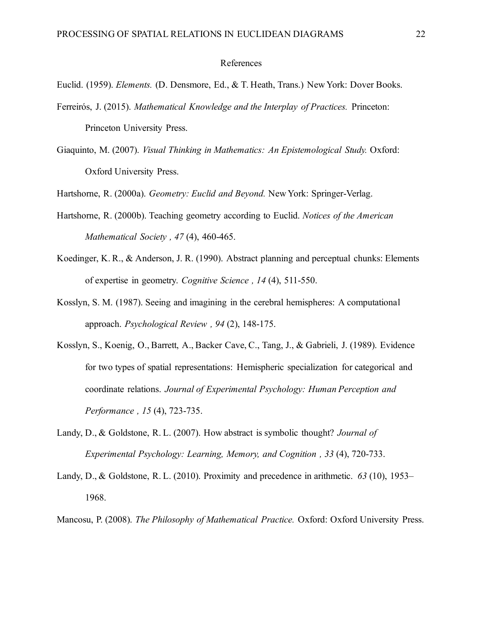#### References

Euclid. (1959). *Elements.* (D. Densmore, Ed., & T. Heath, Trans.) New York: Dover Books.

- Ferreirós, J. (2015). *Mathematical Knowledge and the Interplay of Practices.* Princeton: Princeton University Press.
- Giaquinto, M. (2007). *Visual Thinking in Mathematics: An Epistemological Study.* Oxford: Oxford University Press.

Hartshorne, R. (2000a). *Geometry: Euclid and Beyond.* New York: Springer-Verlag.

- Hartshorne, R. (2000b). Teaching geometry according to Euclid. *Notices of the American Mathematical Society , 47* (4), 460-465.
- Koedinger, K. R., & Anderson, J. R. (1990). Abstract planning and perceptual chunks: Elements of expertise in geometry. *Cognitive Science , 14* (4), 511-550.
- Kosslyn, S. M. (1987). Seeing and imagining in the cerebral hemispheres: A computational approach. *Psychological Review , 94* (2), 148-175.
- Kosslyn, S., Koenig, O., Barrett, A., Backer Cave, C., Tang, J., & Gabrieli, J. (1989). Evidence for two types of spatial representations: Hemispheric specialization for categorical and coordinate relations. *Journal of Experimental Psychology: Human Perception and Performance , 15* (4), 723-735.
- Landy, D., & Goldstone, R. L. (2007). How abstract is symbolic thought? *Journal of Experimental Psychology: Learning, Memory, and Cognition , 33* (4), 720-733.
- Landy, D., & Goldstone, R. L. (2010). Proximity and precedence in arithmetic. *63* (10), 1953– 1968.
- Mancosu, P. (2008). *The Philosophy of Mathematical Practice.* Oxford: Oxford University Press.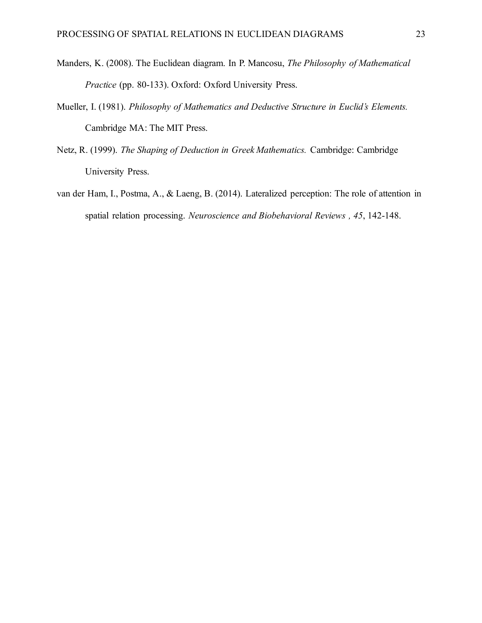- Manders, K. (2008). The Euclidean diagram. In P. Mancosu, *The Philosophy of Mathematical Practice* (pp. 80-133). Oxford: Oxford University Press.
- Mueller, I. (1981). *Philosophy of Mathematics and Deductive Structure in Euclid's Elements.* Cambridge MA: The MIT Press.
- Netz, R. (1999). *The Shaping of Deduction in Greek Mathematics.* Cambridge: Cambridge University Press.
- van der Ham, I., Postma, A., & Laeng, B. (2014). Lateralized perception: The role of attention in spatial relation processing. *Neuroscience and Biobehavioral Reviews , 45*, 142-148.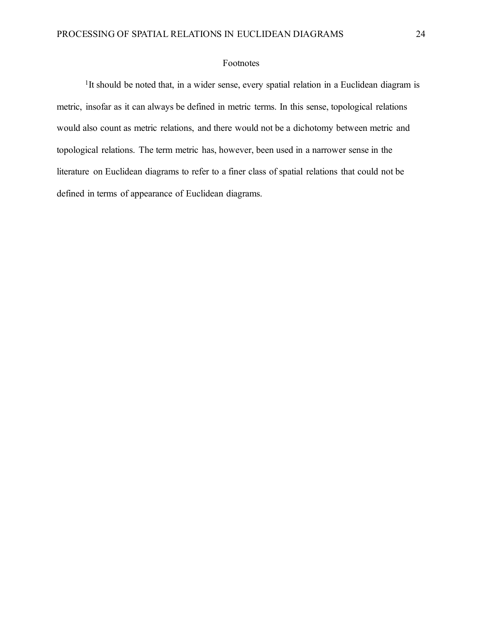### Footnotes

<sup>1</sup>It should be noted that, in a wider sense, every spatial relation in a Euclidean diagram is metric, insofar as it can always be defined in metric terms. In this sense, topological relations would also count as metric relations, and there would not be a dichotomy between metric and topological relations. The term metric has, however, been used in a narrower sense in the literature on Euclidean diagrams to refer to a finer class of spatial relations that could not be defined in terms of appearance of Euclidean diagrams.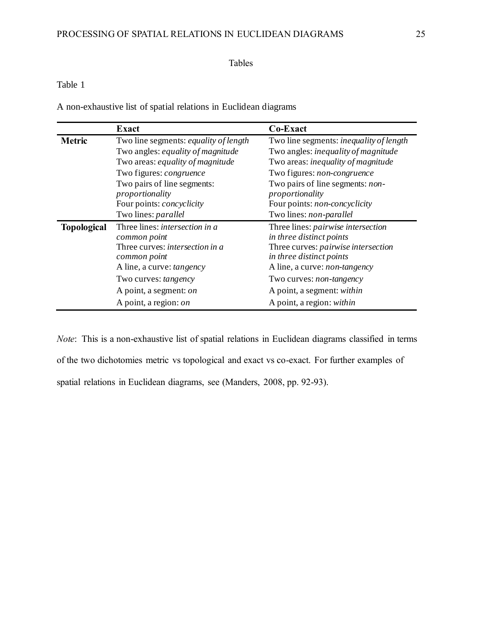## Tables

## Table 1

A non-exhaustive list of spatial relations in Euclidean diagrams

|                    | <b>Exact</b>                                 | Co-Exact                                       |
|--------------------|----------------------------------------------|------------------------------------------------|
| <b>Metric</b>      | Two line segments: <i>equality of length</i> | Two line segments: <i>inequality of length</i> |
|                    | Two angles: equality of magnitude            | Two angles: inequality of magnitude            |
|                    | Two areas: equality of magnitude             | Two areas: inequality of magnitude             |
|                    | Two figures: congruence                      | Two figures: non-congruence                    |
|                    | Two pairs of line segments:                  | Two pairs of line segments: non-               |
|                    | proportionality                              | proportionality                                |
|                    | Four points: <i>concyclicity</i>             | Four points: non-concyclicity                  |
|                    | Two lines: parallel                          | Two lines: non-parallel                        |
| <b>Topological</b> | Three lines: <i>intersection</i> in a        | Three lines: pairwise intersection             |
|                    | common point                                 | in three distinct points                       |
|                    | Three curves: <i>intersection in a</i>       | Three curves: <i>pairwise intersection</i>     |
|                    | common point                                 | in three distinct points                       |
|                    | A line, a curve: <i>tangency</i>             | A line, a curve: <i>non-tangency</i>           |
|                    | Two curves: tangency                         | Two curves: <i>non-tangency</i>                |
|                    | A point, a segment: on                       | A point, a segment: within                     |
|                    | A point, a region: on                        | A point, a region: within                      |

*Note*: This is a non-exhaustive list of spatial relations in Euclidean diagrams classified in terms of the two dichotomies metric vs topological and exact vs co-exact. For further examples of spatial relations in Euclidean diagrams, see (Manders, 2008, pp. 92-93).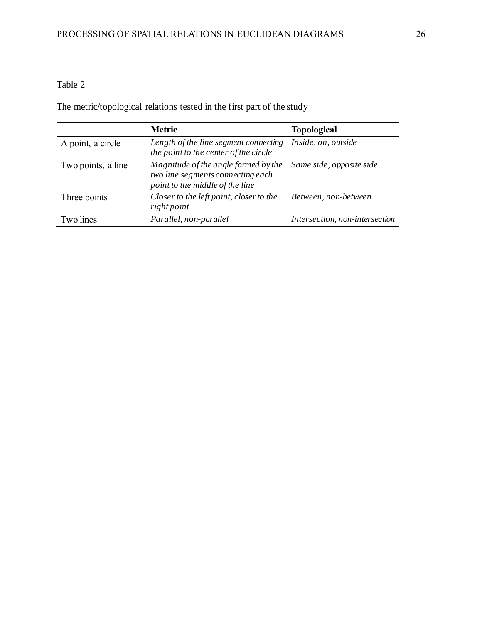# Table 2

The metric/topological relations tested in the first part of the study

|                    | <b>Metric</b>                                                                                                | <b>Topological</b>             |
|--------------------|--------------------------------------------------------------------------------------------------------------|--------------------------------|
| A point, a circle  | Length of the line segment connecting<br>the point to the center of the circle                               | Inside, on, outside            |
| Two points, a line | Magnitude of the angle formed by the<br>two line segments connecting each<br>point to the middle of the line | Same side, opposite side       |
| Three points       | Closer to the left point, closer to the<br>right point                                                       | Between, non-between           |
| Two lines          | Parallel, non-parallel                                                                                       | Intersection, non-intersection |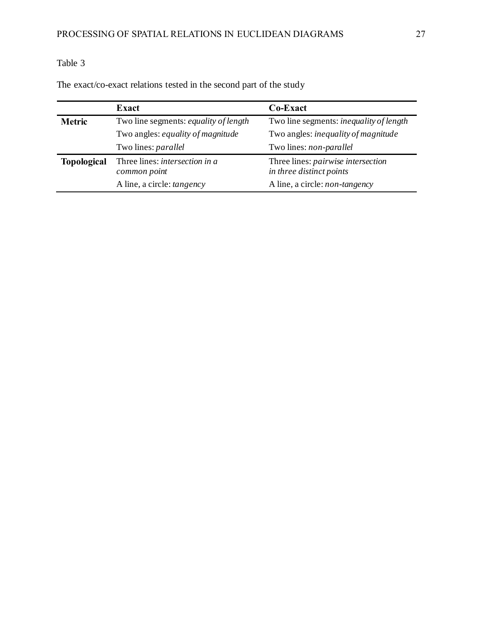# Table 3

|                    | Exact                                                 | Co-Exact                                                       |  |
|--------------------|-------------------------------------------------------|----------------------------------------------------------------|--|
| <b>Metric</b>      | Two line segments: equality of length                 | Two line segments: <i>inequality of length</i>                 |  |
|                    | Two angles: equality of magnitude                     | Two angles: <i>inequality of magnitude</i>                     |  |
|                    | Two lines: <i>parallel</i>                            | Two lines: non-parallel                                        |  |
| <b>Topological</b> | Three lines: <i>intersection in a</i><br>common point | Three lines: pairwise intersection<br>in three distinct points |  |
|                    | A line, a circle: <i>tangency</i>                     | A line, a circle: <i>non-tangency</i>                          |  |

The exact/co-exact relations tested in the second part of the study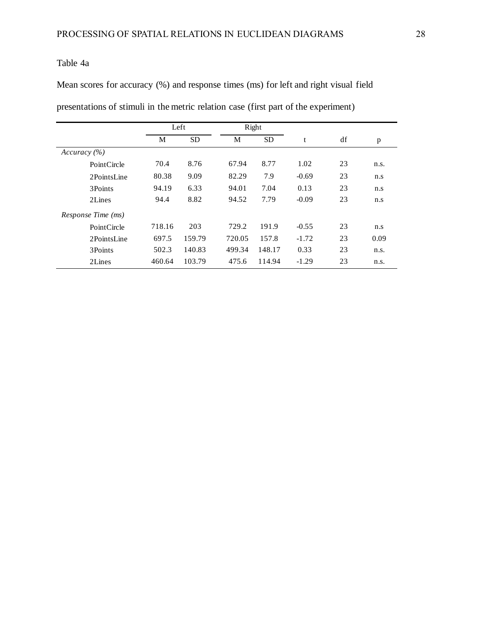## Table 4a

Mean scores for accuracy (%) and response times (ms) for left and right visual field

presentations of stimuli in the metric relation case (first part of the experiment)

|                    | Left   |           |        | Right     |         |    |      |
|--------------------|--------|-----------|--------|-----------|---------|----|------|
|                    | М      | <b>SD</b> | M      | <b>SD</b> | t       | df | p    |
| Accuracy (%)       |        |           |        |           |         |    |      |
| PointCircle        | 70.4   | 8.76      | 67.94  | 8.77      | 1.02    | 23 | n.s. |
| 2PointsLine        | 80.38  | 9.09      | 82.29  | 7.9       | $-0.69$ | 23 | n.s  |
| 3Points            | 94.19  | 6.33      | 94.01  | 7.04      | 0.13    | 23 | n.s  |
| 2Lines             | 94.4   | 8.82      | 94.52  | 7.79      | $-0.09$ | 23 | n.s  |
| Response Time (ms) |        |           |        |           |         |    |      |
| PointCircle        | 718.16 | 203       | 729.2  | 191.9     | $-0.55$ | 23 | n.s  |
| 2PointsLine        | 697.5  | 159.79    | 720.05 | 157.8     | $-1.72$ | 23 | 0.09 |
| 3Points            | 502.3  | 140.83    | 499.34 | 148.17    | 0.33    | 23 | n.s. |
| 2Lines             | 460.64 | 103.79    | 475.6  | 114.94    | $-1.29$ | 23 | n.s. |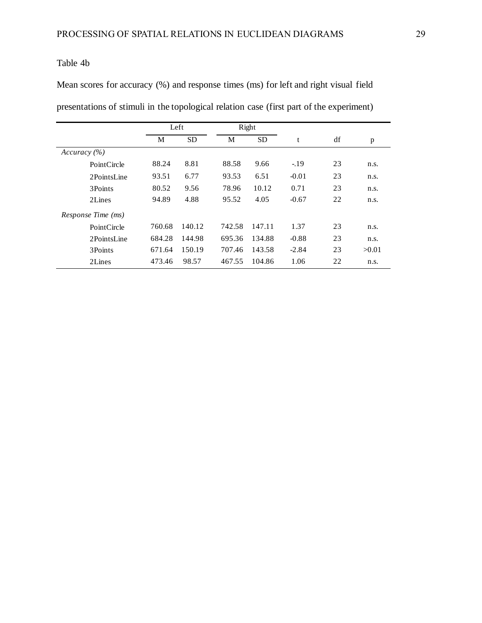## Table 4b

Mean scores for accuracy (%) and response times (ms) for left and right visual field

presentations of stimuli in the topological relation case (first part of the experiment)

|                    |        | Right<br>Left |        |           |         |    |       |
|--------------------|--------|---------------|--------|-----------|---------|----|-------|
|                    | M      | <b>SD</b>     | M      | <b>SD</b> | t       | df | p     |
| Accuracy $(\% )$   |        |               |        |           |         |    |       |
| PointCircle        | 88.24  | 8.81          | 88.58  | 9.66      | $-19$   | 23 | n.s.  |
| 2PointsLine        | 93.51  | 6.77          | 93.53  | 6.51      | $-0.01$ | 23 | n.s.  |
| 3Points            | 80.52  | 9.56          | 78.96  | 10.12     | 0.71    | 23 | n.s.  |
| 2Lines             | 94.89  | 4.88          | 95.52  | 4.05      | $-0.67$ | 22 | n.s.  |
| Response Time (ms) |        |               |        |           |         |    |       |
| PointCircle        | 760.68 | 140.12        | 742.58 | 147.11    | 1.37    | 23 | n.s.  |
| 2PointsLine        | 684.28 | 144.98        | 695.36 | 134.88    | $-0.88$ | 23 | n.s.  |
| 3Points            | 671.64 | 150.19        | 707.46 | 143.58    | $-2.84$ | 23 | >0.01 |
| 2Lines             | 473.46 | 98.57         | 467.55 | 104.86    | 1.06    | 22 | n.s.  |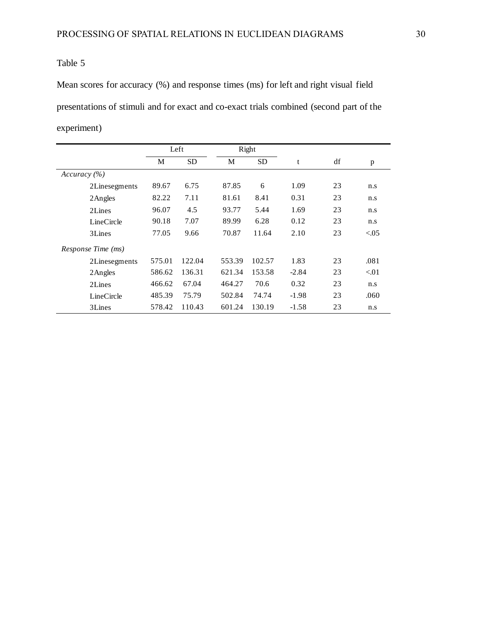## Table 5

Mean scores for accuracy (%) and response times (ms) for left and right visual field presentations of stimuli and for exact and co-exact trials combined (second part of the experiment)

|                    | Left   |           | Right  |           |         |    |           |
|--------------------|--------|-----------|--------|-----------|---------|----|-----------|
|                    | M      | <b>SD</b> | M      | <b>SD</b> | t       | df | p         |
| Accuracy $(\% )$   |        |           |        |           |         |    |           |
| 2Linesegments      | 89.67  | 6.75      | 87.85  | 6         | 1.09    | 23 | n.s       |
| 2Angles            | 82.22  | 7.11      | 81.61  | 8.41      | 0.31    | 23 | n.s       |
| 2Lines             | 96.07  | 4.5       | 93.77  | 5.44      | 1.69    | 23 | n.s       |
| LineCircle         | 90.18  | 7.07      | 89.99  | 6.28      | 0.12    | 23 | n.s       |
| 3Lines             | 77.05  | 9.66      | 70.87  | 11.64     | 2.10    | 23 | ${<}0.05$ |
| Response Time (ms) |        |           |        |           |         |    |           |
| 2Linesegments      | 575.01 | 122.04    | 553.39 | 102.57    | 1.83    | 23 | .081      |
| 2Angles            | 586.62 | 136.31    | 621.34 | 153.58    | $-2.84$ | 23 | < 01      |
| 2Lines             | 466.62 | 67.04     | 464.27 | 70.6      | 0.32    | 23 | n.s       |
| LineCircle         | 485.39 | 75.79     | 502.84 | 74.74     | $-1.98$ | 23 | .060      |
| 3Lines             | 578.42 | 110.43    | 601.24 | 130.19    | $-1.58$ | 23 | n.s       |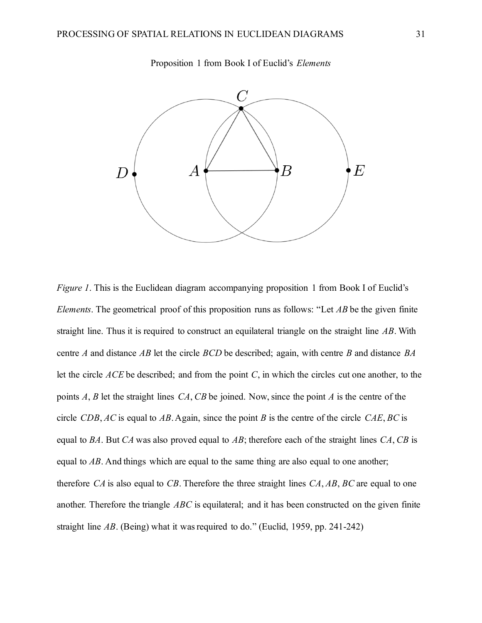

Proposition 1 from Book I of Euclid's *Elements*

*Figure 1*. This is the Euclidean diagram accompanying proposition 1 from Book I of Euclid's *Elements*. The geometrical proof of this proposition runs as follows: "Let *AB* be the given finite straight line. Thus it is required to construct an equilateral triangle on the straight line *AB*. With centre *A* and distance *AB* let the circle *BCD* be described; again, with centre *B* and distance *BA* let the circle *ACE* be described; and from the point *C*, in which the circles cut one another, to the points *A*, *B* let the straight lines *CA*, *CB* be joined. Now, since the point *A* is the centre of the circle *CDB*, *AC* is equal to *AB*. Again, since the point *B* is the centre of the circle *CAE*, *BC* is equal to *BA*. But *CA* was also proved equal to *AB*; therefore each of the straight lines *CA*, *CB* is equal to *AB*. And things which are equal to the same thing are also equal to one another; therefore *CA* is also equal to *CB*. Therefore the three straight lines *CA*, *AB*, *BC* are equal to one another. Therefore the triangle *ABC* is equilateral; and it has been constructed on the given finite straight line *AB*. (Being) what it was required to do." (Euclid, 1959, pp. 241-242)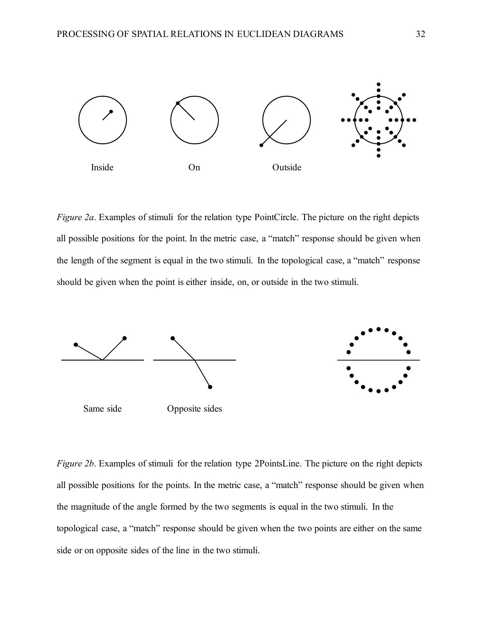

*Figure 2a.* Examples of stimuli for the relation type PointCircle. The picture on the right depicts all possible positions for the point. In the metric case, a "match" response should be given when the length of the segment is equal in the two stimuli. In the topological case, a "match" response should be given when the point is either inside, on, or outside in the two stimuli.



*Figure 2b.* Examples of stimuli for the relation type 2PointsLine. The picture on the right depicts all possible positions for the points. In the metric case, a "match" response should be given when the magnitude of the angle formed by the two segments is equal in the two stimuli. In the topological case, a "match" response should be given when the two points are either on the same side or on opposite sides of the line in the two stimuli.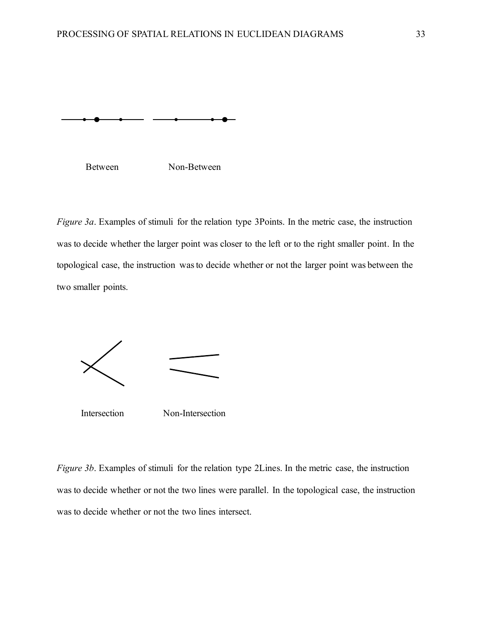



*Figure 3a.* Examples of stimuli for the relation type 3Points. In the metric case, the instruction was to decide whether the larger point was closer to the left or to the right smaller point. In the topological case, the instruction was to decide whether or not the larger point was between the two smaller points.



Intersection Non-Intersection

*Figure 3b*. Examples of stimuli for the relation type 2Lines. In the metric case, the instruction was to decide whether or not the two lines were parallel. In the topological case, the instruction was to decide whether or not the two lines intersect.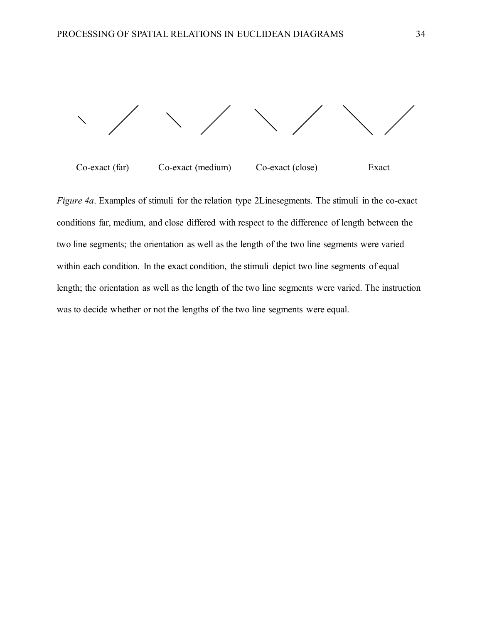

Co-exact (far) Co-exact (medium) Co-exact (close) Exact

*Figure 4a*. Examples of stimuli for the relation type 2Linesegments. The stimuli in the co-exact conditions far, medium, and close differed with respect to the difference of length between the two line segments; the orientation as well as the length of the two line segments were varied within each condition. In the exact condition, the stimuli depict two line segments of equal length; the orientation as well as the length of the two line segments were varied. The instruction was to decide whether or not the lengths of the two line segments were equal.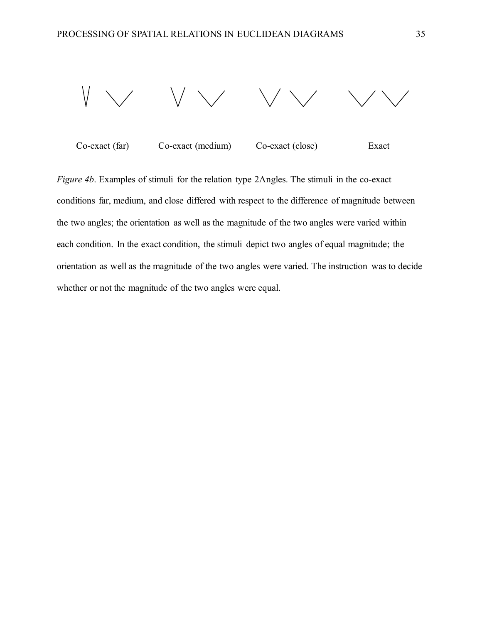

Co-exact (far) Co-exact (medium) Co-exact (close) Exact

*Figure 4b*. Examples of stimuli for the relation type 2Angles. The stimuli in the co-exact conditions far, medium, and close differed with respect to the difference of magnitude between the two angles; the orientation as well as the magnitude of the two angles were varied within each condition. In the exact condition, the stimuli depict two angles of equal magnitude; the orientation as well as the magnitude of the two angles were varied. The instruction was to decide whether or not the magnitude of the two angles were equal.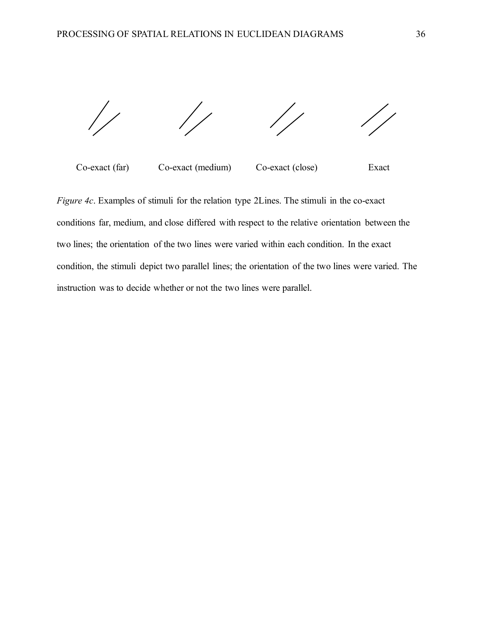

Co-exact (far) Co-exact (medium) Co-exact (close) Exact

*Figure 4c*. Examples of stimuli for the relation type 2Lines. The stimuli in the co-exact conditions far, medium, and close differed with respect to the relative orientation between the two lines; the orientation of the two lines were varied within each condition. In the exact condition, the stimuli depict two parallel lines; the orientation of the two lines were varied. The instruction was to decide whether or not the two lines were parallel.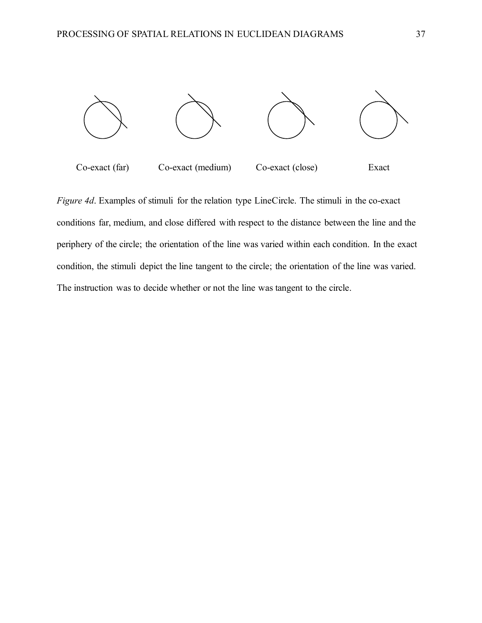

*Figure 4d*. Examples of stimuli for the relation type LineCircle. The stimuli in the co-exact conditions far, medium, and close differed with respect to the distance between the line and the periphery of the circle; the orientation of the line was varied within each condition. In the exact condition, the stimuli depict the line tangent to the circle; the orientation of the line was varied. The instruction was to decide whether or not the line was tangent to the circle.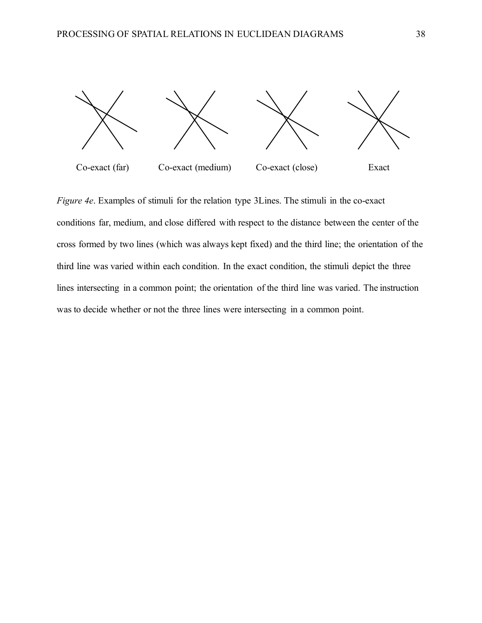

*Figure 4e*. Examples of stimuli for the relation type 3Lines. The stimuli in the co-exact conditions far, medium, and close differed with respect to the distance between the center of the cross formed by two lines (which was always kept fixed) and the third line; the orientation of the third line was varied within each condition. In the exact condition, the stimuli depict the three lines intersecting in a common point; the orientation of the third line was varied. The instruction was to decide whether or not the three lines were intersecting in a common point.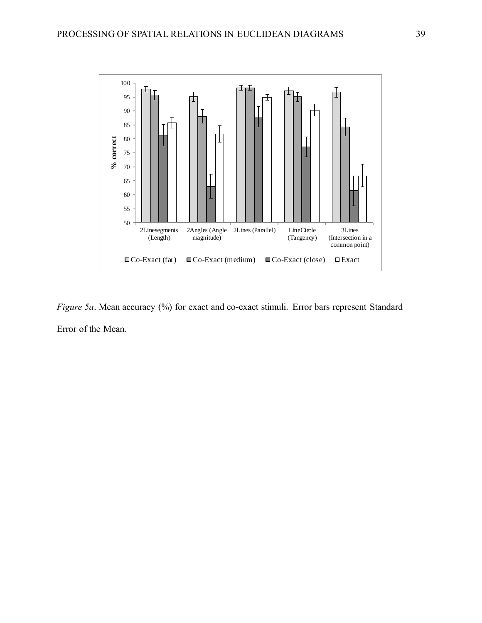

*Figure 5a*. Mean accuracy (%) for exact and co-exact stimuli. Error bars represent Standard Error of the Mean.